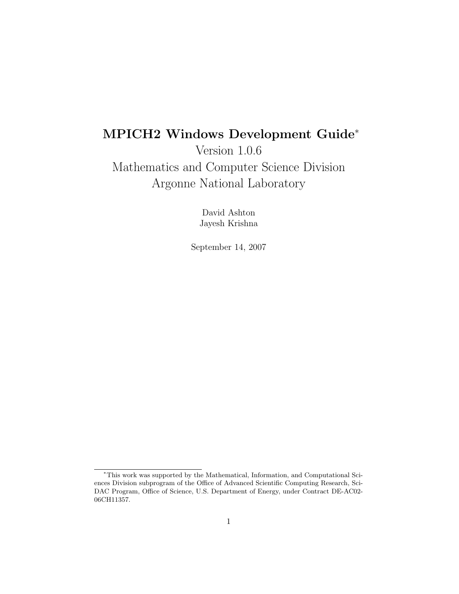# MPICH2 Windows Development Guide<sup>∗</sup>

Version 1.0.6 Mathematics and Computer Science Division Argonne National Laboratory

> David Ashton Jayesh Krishna

September 14, 2007

<sup>∗</sup>This work was supported by the Mathematical, Information, and Computational Sciences Division subprogram of the Office of Advanced Scientific Computing Research, Sci-DAC Program, Office of Science, U.S. Department of Energy, under Contract DE-AC02- 06CH11357.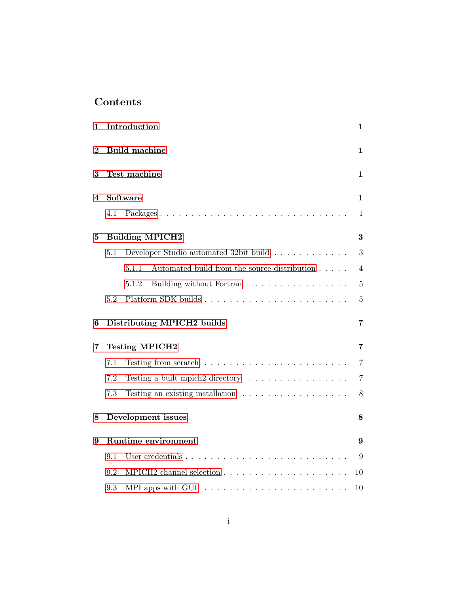# Contents

| 1        |     | Introduction                                                                   | 1              |
|----------|-----|--------------------------------------------------------------------------------|----------------|
| $\bf{2}$ |     | <b>Build machine</b>                                                           | 1              |
| 3        |     | Test machine                                                                   | 1              |
| 4        |     | Software                                                                       | 1              |
|          | 4.1 | Packages                                                                       | 1              |
| 5        |     | <b>Building MPICH2</b>                                                         | 3              |
|          | 5.1 | Developer Studio automated 32bit build                                         | 3              |
|          |     | Automated build from the source distribution<br>5.1.1                          | 4              |
|          |     | Building without Fortran<br>5.1.2                                              | $\bf 5$        |
|          | 5.2 |                                                                                | $\overline{5}$ |
| 6        |     | Distributing MPICH2 builds                                                     | 7              |
| 7        |     | <b>Testing MPICH2</b>                                                          | 7              |
|          | 7.1 | Testing from scratch $\ldots \ldots \ldots \ldots \ldots \ldots \ldots \ldots$ | $\overline{7}$ |
|          | 7.2 | Testing a built mpich2 directory                                               | $\overline{7}$ |
|          | 7.3 | Testing an existing installation $\ldots \ldots \ldots \ldots \ldots$          | 8              |
| 8        |     | Development issues                                                             | 8              |
| 9        |     | Runtime environment                                                            | 9              |
|          | 9.1 |                                                                                | 9              |
|          | 9.2 |                                                                                | 10             |
|          | 9.3 | MPI apps with GUI $\ldots \ldots \ldots \ldots \ldots \ldots \ldots$           | 10             |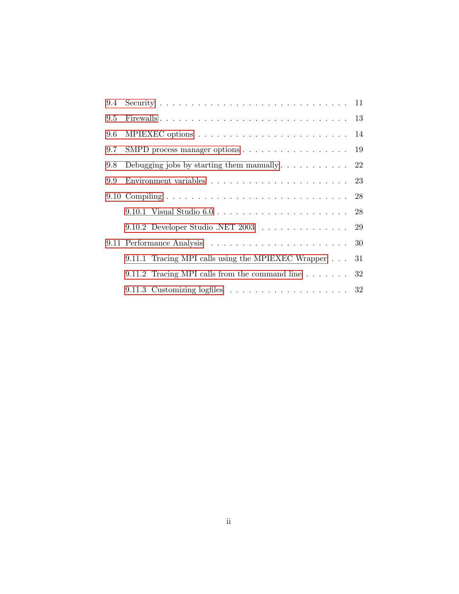| 9.5           |                                                                                    |  |
|---------------|------------------------------------------------------------------------------------|--|
| 9.6           |                                                                                    |  |
| $9.7^{\circ}$ | SMPD process manager options 19                                                    |  |
| 9.8           | Debugging jobs by starting them manually $\ldots \ldots \ldots \ldots$ 22          |  |
| 9.9           | Environment variables $\ldots \ldots \ldots \ldots \ldots \ldots \ldots \ldots 23$ |  |
|               |                                                                                    |  |
|               |                                                                                    |  |
|               | 9.10.2 Developer Studio .NET 2003 $\ldots \ldots \ldots \ldots \ldots$ 29          |  |
|               |                                                                                    |  |
|               | 9.11.1 Tracing MPI calls using the MPIEXEC Wrapper 31                              |  |
|               | 9.11.2 Tracing MPI calls from the command line $\ldots \ldots$ 32                  |  |
|               |                                                                                    |  |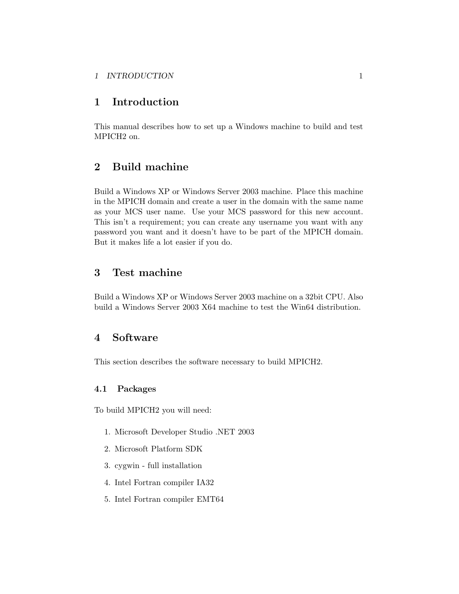### <span id="page-3-0"></span>1 INTRODUCTION 1

# 1 Introduction

This manual describes how to set up a Windows machine to build and test MPICH2 on.

# 2 Build machine

Build a Windows XP or Windows Server 2003 machine. Place this machine in the MPICH domain and create a user in the domain with the same name as your MCS user name. Use your MCS password for this new account. This isn't a requirement; you can create any username you want with any password you want and it doesn't have to be part of the MPICH domain. But it makes life a lot easier if you do.

# 3 Test machine

Build a Windows XP or Windows Server 2003 machine on a 32bit CPU. Also build a Windows Server 2003 X64 machine to test the Win64 distribution.

# 4 Software

This section describes the software necessary to build MPICH2.

### 4.1 Packages

To build MPICH2 you will need:

- 1. Microsoft Developer Studio .NET 2003
- 2. Microsoft Platform SDK
- 3. cygwin full installation
- 4. Intel Fortran compiler IA32
- 5. Intel Fortran compiler EMT64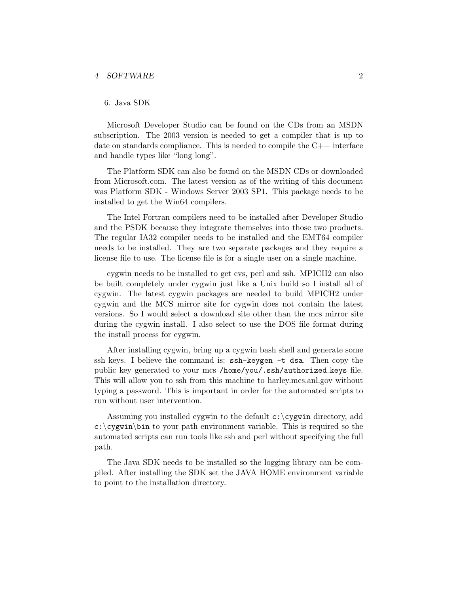### 4 SOFTWARE 2

### 6. Java SDK

Microsoft Developer Studio can be found on the CDs from an MSDN subscription. The 2003 version is needed to get a compiler that is up to date on standards compliance. This is needed to compile the  $C++$  interface and handle types like "long long".

The Platform SDK can also be found on the MSDN CDs or downloaded from Microsoft.com. The latest version as of the writing of this document was Platform SDK - Windows Server 2003 SP1. This package needs to be installed to get the Win64 compilers.

The Intel Fortran compilers need to be installed after Developer Studio and the PSDK because they integrate themselves into those two products. The regular IA32 compiler needs to be installed and the EMT64 compiler needs to be installed. They are two separate packages and they require a license file to use. The license file is for a single user on a single machine.

cygwin needs to be installed to get cvs, perl and ssh. MPICH2 can also be built completely under cygwin just like a Unix build so I install all of cygwin. The latest cygwin packages are needed to build MPICH2 under cygwin and the MCS mirror site for cygwin does not contain the latest versions. So I would select a download site other than the mcs mirror site during the cygwin install. I also select to use the DOS file format during the install process for cygwin.

After installing cygwin, bring up a cygwin bash shell and generate some ssh keys. I believe the command is: ssh-keygen -t dsa. Then copy the public key generated to your mcs /home/you/.ssh/authorized keys file. This will allow you to ssh from this machine to harley.mcs.anl.gov without typing a password. This is important in order for the automated scripts to run without user intervention.

Assuming you installed cygwin to the default  $c:\cy$ gwin directory, add  $c:\csc\theta$  bin to your path environment variable. This is required so the automated scripts can run tools like ssh and perl without specifying the full path.

The Java SDK needs to be installed so the logging library can be compiled. After installing the SDK set the JAVA HOME environment variable to point to the installation directory.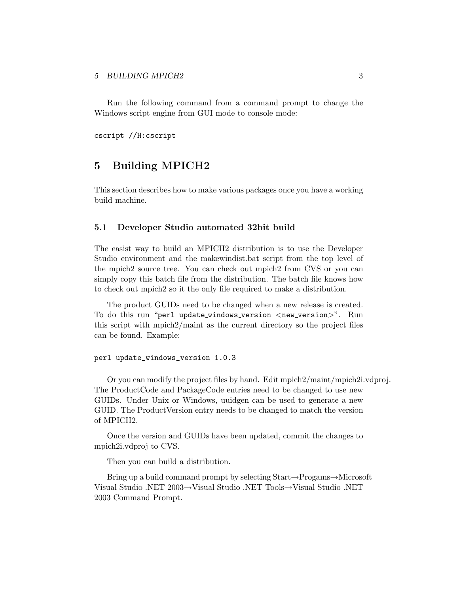#### <span id="page-5-0"></span>5 BUILDING MPICH2 3

Run the following command from a command prompt to change the Windows script engine from GUI mode to console mode:

cscript //H:cscript

# 5 Building MPICH2

This section describes how to make various packages once you have a working build machine.

### 5.1 Developer Studio automated 32bit build

The easist way to build an MPICH2 distribution is to use the Developer Studio environment and the makewindist.bat script from the top level of the mpich2 source tree. You can check out mpich2 from CVS or you can simply copy this batch file from the distribution. The batch file knows how to check out mpich2 so it the only file required to make a distribution.

The product GUIDs need to be changed when a new release is created. To do this run "perl update\_windows\_version <new\_version>". Run this script with mpich2/maint as the current directory so the project files can be found. Example:

#### perl update\_windows\_version 1.0.3

Or you can modify the project files by hand. Edit mpich2/maint/mpich2i.vdproj. The ProductCode and PackageCode entries need to be changed to use new GUIDs. Under Unix or Windows, uuidgen can be used to generate a new GUID. The ProductVersion entry needs to be changed to match the version of MPICH2.

Once the version and GUIDs have been updated, commit the changes to mpich2i.vdproj to CVS.

Then you can build a distribution.

Bring up a build command prompt by selecting Start→Progams→Microsoft Visual Studio .NET 2003→Visual Studio .NET Tools→Visual Studio .NET 2003 Command Prompt.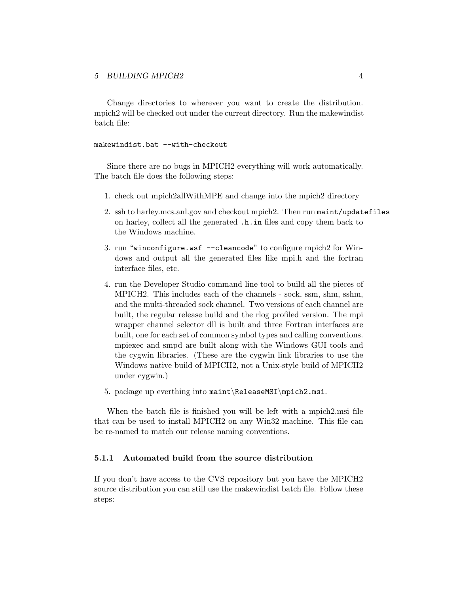<span id="page-6-0"></span>Change directories to wherever you want to create the distribution. mpich2 will be checked out under the current directory. Run the makewindist batch file:

### makewindist.bat --with-checkout

Since there are no bugs in MPICH2 everything will work automatically. The batch file does the following steps:

- 1. check out mpich2allWithMPE and change into the mpich2 directory
- 2. ssh to harley.mcs.anl.gov and checkout mpich2. Then run maint/updatefiles on harley, collect all the generated .h.in files and copy them back to the Windows machine.
- 3. run "winconfigure.wsf --cleancode" to configure mpich2 for Windows and output all the generated files like mpi.h and the fortran interface files, etc.
- 4. run the Developer Studio command line tool to build all the pieces of MPICH2. This includes each of the channels - sock, ssm, shm, sshm, and the multi-threaded sock channel. Two versions of each channel are built, the regular release build and the rlog profiled version. The mpi wrapper channel selector dll is built and three Fortran interfaces are built, one for each set of common symbol types and calling conventions. mpiexec and smpd are built along with the Windows GUI tools and the cygwin libraries. (These are the cygwin link libraries to use the Windows native build of MPICH2, not a Unix-style build of MPICH2 under cygwin.)
- 5. package up everthing into maint\ReleaseMSI\mpich2.msi.

When the batch file is finished you will be left with a mpich2.msi file that can be used to install MPICH2 on any Win32 machine. This file can be re-named to match our release naming conventions.

### 5.1.1 Automated build from the source distribution

If you don't have access to the CVS repository but you have the MPICH2 source distribution you can still use the makewindist batch file. Follow these steps: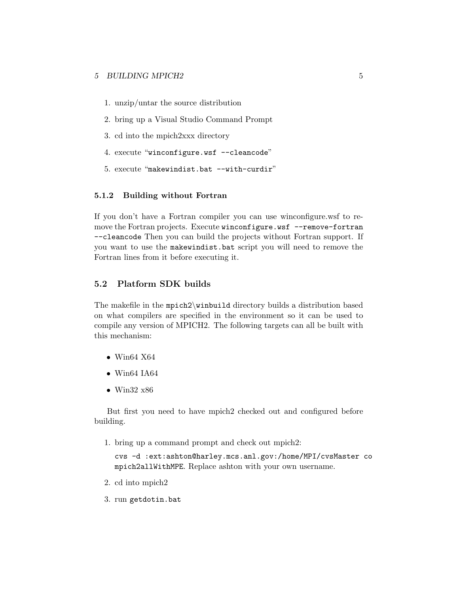- <span id="page-7-0"></span>1. unzip/untar the source distribution
- 2. bring up a Visual Studio Command Prompt
- 3. cd into the mpich2xxx directory
- 4. execute "winconfigure.wsf --cleancode"
- 5. execute "makewindist.bat --with-curdir"

### 5.1.2 Building without Fortran

If you don't have a Fortran compiler you can use winconfigure.wsf to remove the Fortran projects. Execute winconfigure.wsf --remove-fortran --cleancode Then you can build the projects without Fortran support. If you want to use the makewindist.bat script you will need to remove the Fortran lines from it before executing it.

## 5.2 Platform SDK builds

The makefile in the mpich2\winbuild directory builds a distribution based on what compilers are specified in the environment so it can be used to compile any version of MPICH2. The following targets can all be built with this mechanism:

- $\bullet$  Win64 X64
- $\bullet$  Win64 IA64
- Win32 x86

But first you need to have mpich2 checked out and configured before building.

1. bring up a command prompt and check out mpich2:

cvs -d :ext:ashton@harley.mcs.anl.gov:/home/MPI/cvsMaster co mpich2allWithMPE. Replace ashton with your own username.

- 2. cd into mpich2
- 3. run getdotin.bat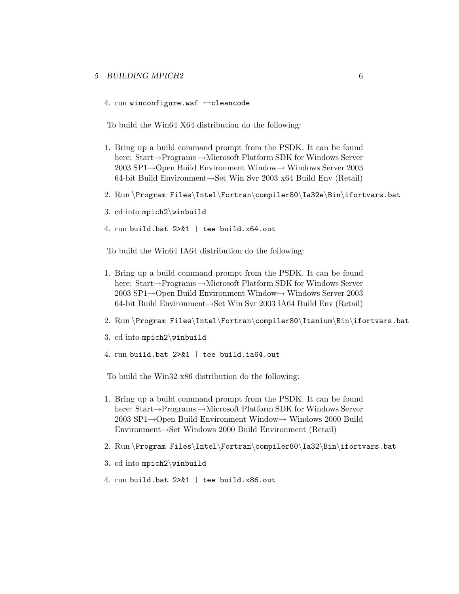### 5 BUILDING MPICH2 6

4. run winconfigure.wsf --cleancode

To build the Win64 X64 distribution do the following:

- 1. Bring up a build command prompt from the PSDK. It can be found here: Start→Programs →Microsoft Platform SDK for Windows Server 2003 SP1→Open Build Environment Window→ Windows Server 2003 64-bit Build Environment→Set Win Svr 2003 x64 Build Env (Retail)
- 2. Run \Program Files\Intel\Fortran\compiler80\Ia32e\Bin\ifortvars.bat
- 3. cd into mpich2\winbuild
- 4. run build.bat 2>&1 | tee build.x64.out

To build the Win64 IA64 distribution do the following:

- 1. Bring up a build command prompt from the PSDK. It can be found here: Start→Programs →Microsoft Platform SDK for Windows Server 2003 SP1→Open Build Environment Window→ Windows Server 2003 64-bit Build Environment→Set Win Svr 2003 IA64 Build Env (Retail)
- 2. Run \Program Files\Intel\Fortran\compiler80\Itanium\Bin\ifortvars.bat
- 3. cd into mpich2\winbuild
- 4. run build.bat 2>&1 | tee build.ia64.out

To build the Win32 x86 distribution do the following:

- 1. Bring up a build command prompt from the PSDK. It can be found here: Start→Programs →Microsoft Platform SDK for Windows Server 2003 SP1→Open Build Environment Window→ Windows 2000 Build Environment→Set Windows 2000 Build Environment (Retail)
- 2. Run \Program Files\Intel\Fortran\compiler80\Ia32\Bin\ifortvars.bat
- 3. cd into mpich2\winbuild
- 4. run build.bat 2>&1 | tee build.x86.out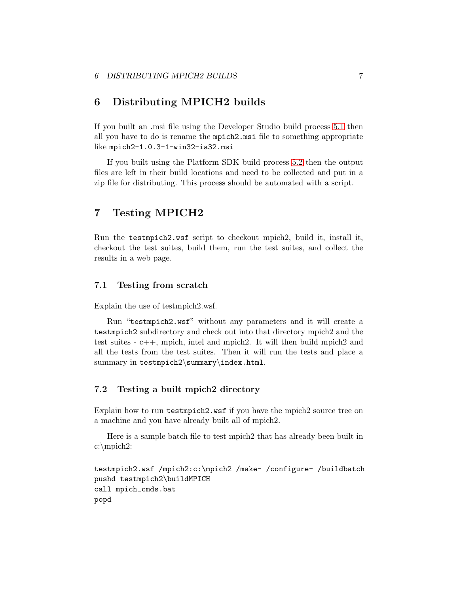# <span id="page-9-0"></span>6 Distributing MPICH2 builds

If you built an .msi file using the Developer Studio build process [5.1](#page-5-0) then all you have to do is rename the mpich2.msi file to something appropriate like mpich2-1.0.3-1-win32-ia32.msi

If you built using the Platform SDK build process [5.2](#page-7-0) then the output files are left in their build locations and need to be collected and put in a zip file for distributing. This process should be automated with a script.

# 7 Testing MPICH2

Run the testmpich2.wsf script to checkout mpich2, build it, install it, checkout the test suites, build them, run the test suites, and collect the results in a web page.

# 7.1 Testing from scratch

Explain the use of testmpich2.wsf.

Run "testmpich2.wsf" without any parameters and it will create a testmpich2 subdirectory and check out into that directory mpich2 and the test suites - c++, mpich, intel and mpich2. It will then build mpich2 and all the tests from the test suites. Then it will run the tests and place a summary in testmpich2\summary\index.html.

# 7.2 Testing a built mpich2 directory

Explain how to run testmpich2.wsf if you have the mpich2 source tree on a machine and you have already built all of mpich2.

Here is a sample batch file to test mpich2 that has already been built in c:\mpich2:

```
testmpich2.wsf /mpich2:c:\mpich2 /make- /configure- /buildbatch
pushd testmpich2\buildMPICH
call mpich_cmds.bat
popd
```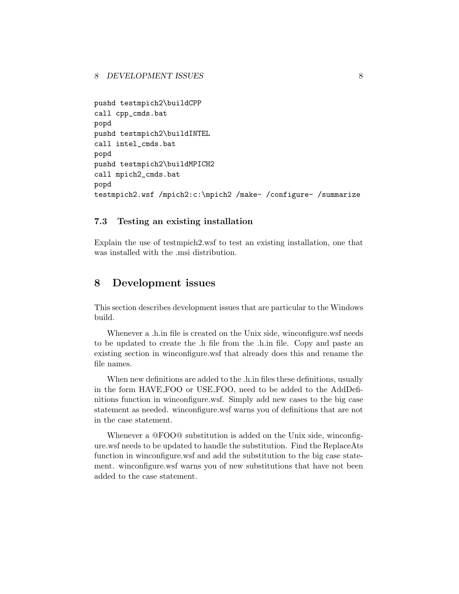```
pushd testmpich2\buildCPP
call cpp_cmds.bat
popd
pushd testmpich2\buildINTEL
call intel_cmds.bat
popd
pushd testmpich2\buildMPICH2
call mpich2_cmds.bat
popd
testmpich2.wsf /mpich2:c:\mpich2 /make- /configure- /summarize
```
### 7.3 Testing an existing installation

Explain the use of testmpich2.wsf to test an existing installation, one that was installed with the .msi distribution.

# 8 Development issues

This section describes development issues that are particular to the Windows build.

Whenever a .h.in file is created on the Unix side, winconfigure.wsf needs to be updated to create the .h file from the .h.in file. Copy and paste an existing section in winconfigure.wsf that already does this and rename the file names.

When new definitions are added to the .h.in files these definitions, usually in the form HAVE FOO or USE FOO, need to be added to the AddDefinitions function in winconfigure.wsf. Simply add new cases to the big case statement as needed. winconfigure.wsf warns you of definitions that are not in the case statement.

Whenever a @FOO@ substitution is added on the Unix side, winconfigure.wsf needs to be updated to handle the substitution. Find the ReplaceAts function in winconfigure.wsf and add the substitution to the big case statement. winconfigure.wsf warns you of new substitutions that have not been added to the case statement.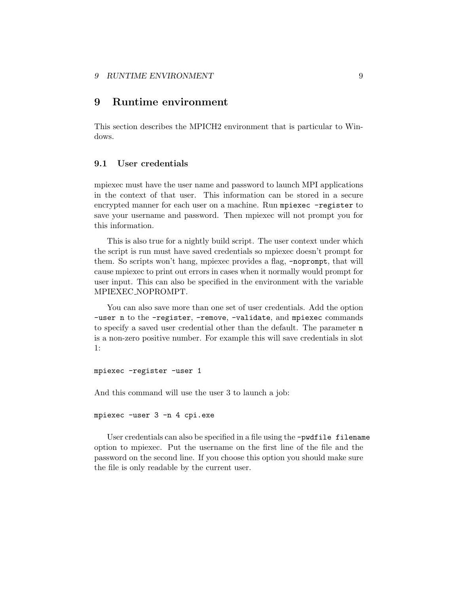### <span id="page-11-0"></span>9 RUNTIME ENVIRONMENT 9

# 9 Runtime environment

This section describes the MPICH2 environment that is particular to Windows.

#### 9.1 User credentials

mpiexec must have the user name and password to launch MPI applications in the context of that user. This information can be stored in a secure encrypted manner for each user on a machine. Run mpiexec -register to save your username and password. Then mpiexec will not prompt you for this information.

This is also true for a nightly build script. The user context under which the script is run must have saved credentials so mpiexec doesn't prompt for them. So scripts won't hang, mpiexec provides a flag, -noprompt, that will cause mpiexec to print out errors in cases when it normally would prompt for user input. This can also be specified in the environment with the variable MPIEXEC NOPROMPT.

You can also save more than one set of user credentials. Add the option -user n to the -register, -remove, -validate, and mpiexec commands to specify a saved user credential other than the default. The parameter n is a non-zero positive number. For example this will save credentials in slot 1:

mpiexec -register -user 1

And this command will use the user 3 to launch a job:

mpiexec -user 3 -n 4 cpi.exe

User credentials can also be specified in a file using the -pwdfile filename option to mpiexec. Put the username on the first line of the file and the password on the second line. If you choose this option you should make sure the file is only readable by the current user.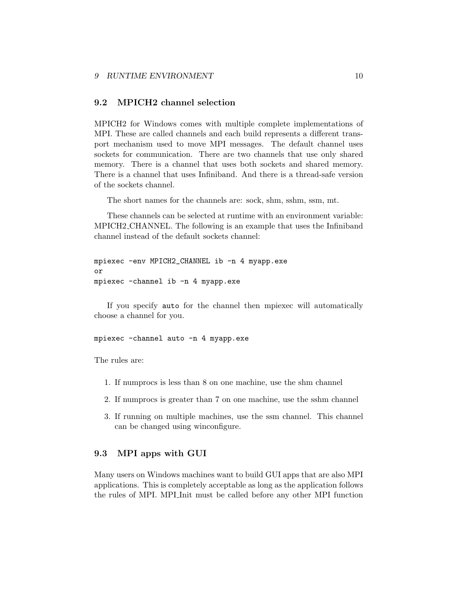## <span id="page-12-0"></span>9.2 MPICH2 channel selection

MPICH2 for Windows comes with multiple complete implementations of MPI. These are called channels and each build represents a different transport mechanism used to move MPI messages. The default channel uses sockets for communication. There are two channels that use only shared memory. There is a channel that uses both sockets and shared memory. There is a channel that uses Infiniband. And there is a thread-safe version of the sockets channel.

The short names for the channels are: sock, shm, sshm, ssm, mt.

These channels can be selected at runtime with an environment variable: MPICH2 CHANNEL. The following is an example that uses the Infiniband channel instead of the default sockets channel:

```
mpiexec -env MPICH2_CHANNEL ib -n 4 myapp.exe
or
mpiexec -channel ib -n 4 myapp.exe
```
If you specify auto for the channel then mpiexec will automatically choose a channel for you.

mpiexec -channel auto -n 4 myapp.exe

The rules are:

- 1. If numprocs is less than 8 on one machine, use the shm channel
- 2. If numprocs is greater than 7 on one machine, use the sshm channel
- 3. If running on multiple machines, use the ssm channel. This channel can be changed using winconfigure.

### 9.3 MPI apps with GUI

Many users on Windows machines want to build GUI apps that are also MPI applications. This is completely acceptable as long as the application follows the rules of MPI. MPI Init must be called before any other MPI function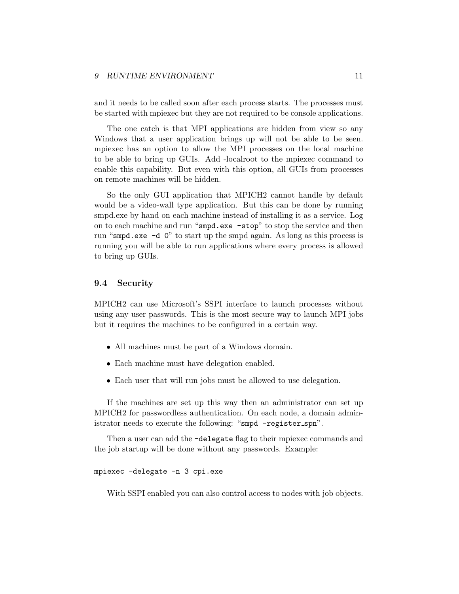<span id="page-13-0"></span>and it needs to be called soon after each process starts. The processes must be started with mpiexec but they are not required to be console applications.

The one catch is that MPI applications are hidden from view so any Windows that a user application brings up will not be able to be seen. mpiexec has an option to allow the MPI processes on the local machine to be able to bring up GUIs. Add -localroot to the mpiexec command to enable this capability. But even with this option, all GUIs from processes on remote machines will be hidden.

So the only GUI application that MPICH2 cannot handle by default would be a video-wall type application. But this can be done by running smpd.exe by hand on each machine instead of installing it as a service. Log on to each machine and run "smpd.exe -stop" to stop the service and then run "smpd.exe -d 0" to start up the smpd again. As long as this process is running you will be able to run applications where every process is allowed to bring up GUIs.

#### 9.4 Security

MPICH2 can use Microsoft's SSPI interface to launch processes without using any user passwords. This is the most secure way to launch MPI jobs but it requires the machines to be configured in a certain way.

- All machines must be part of a Windows domain.
- Each machine must have delegation enabled.
- Each user that will run jobs must be allowed to use delegation.

If the machines are set up this way then an administrator can set up MPICH2 for passwordless authentication. On each node, a domain administrator needs to execute the following: "smpd -register spn".

Then a user can add the -delegate flag to their mpiexec commands and the job startup will be done without any passwords. Example:

mpiexec -delegate -n 3 cpi.exe

With SSPI enabled you can also control access to nodes with job objects.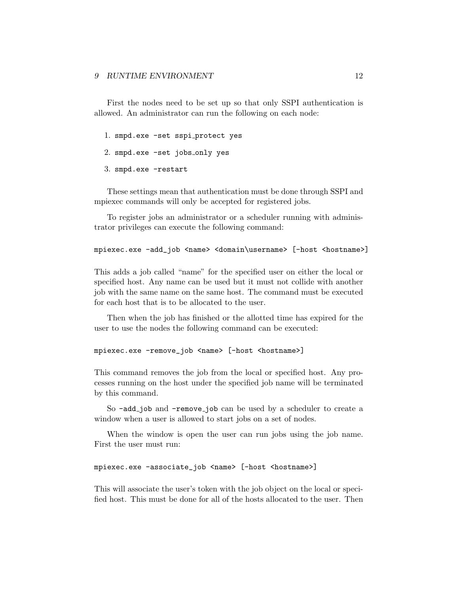First the nodes need to be set up so that only SSPI authentication is allowed. An administrator can run the following on each node:

- 1. smpd.exe -set sspi protect yes
- 2. smpd.exe -set jobs\_only yes
- 3. smpd.exe -restart

These settings mean that authentication must be done through SSPI and mpiexec commands will only be accepted for registered jobs.

To register jobs an administrator or a scheduler running with administrator privileges can execute the following command:

```
mpiexec.exe -add_job <name> <domain\username> [-host <hostname>]
```
This adds a job called "name" for the specified user on either the local or specified host. Any name can be used but it must not collide with another job with the same name on the same host. The command must be executed for each host that is to be allocated to the user.

Then when the job has finished or the allotted time has expired for the user to use the nodes the following command can be executed:

mpiexec.exe -remove\_job <name> [-host <hostname>]

This command removes the job from the local or specified host. Any processes running on the host under the specified job name will be terminated by this command.

So -add\_job and -remove\_job can be used by a scheduler to create a window when a user is allowed to start jobs on a set of nodes.

When the window is open the user can run jobs using the job name. First the user must run:

mpiexec.exe -associate\_job <name> [-host <hostname>]

This will associate the user's token with the job object on the local or specified host. This must be done for all of the hosts allocated to the user. Then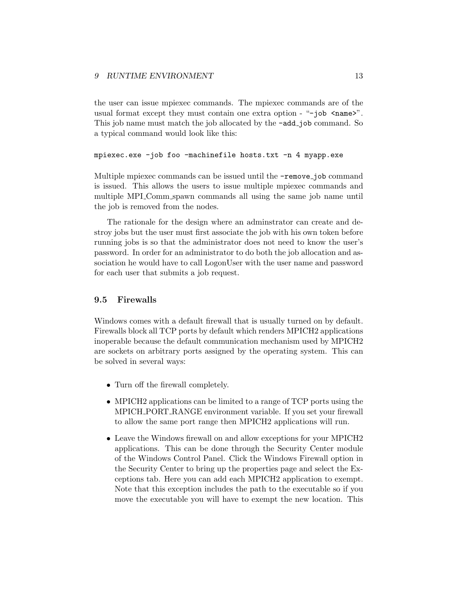<span id="page-15-0"></span>the user can issue mpiexec commands. The mpiexec commands are of the usual format except they must contain one extra option - " $\neg$ job  $\leq$ name>". This job name must match the job allocated by the  $\neg$ **add**\_job command. So a typical command would look like this:

```
mpiexec.exe -job foo -machinefile hosts.txt -n 4 myapp.exe
```
Multiple mpiexec commands can be issued until the **-remove** job command is issued. This allows the users to issue multiple mpiexec commands and multiple MPI Comm spawn commands all using the same job name until the job is removed from the nodes.

The rationale for the design where an adminstrator can create and destroy jobs but the user must first associate the job with his own token before running jobs is so that the administrator does not need to know the user's password. In order for an administrator to do both the job allocation and association he would have to call LogonUser with the user name and password for each user that submits a job request.

### 9.5 Firewalls

Windows comes with a default firewall that is usually turned on by default. Firewalls block all TCP ports by default which renders MPICH2 applications inoperable because the default communication mechanism used by MPICH2 are sockets on arbitrary ports assigned by the operating system. This can be solved in several ways:

- Turn off the firewall completely.
- MPICH2 applications can be limited to a range of TCP ports using the MPICH PORT RANGE environment variable. If you set your firewall to allow the same port range then MPICH2 applications will run.
- Leave the Windows firewall on and allow exceptions for your MPICH2 applications. This can be done through the Security Center module of the Windows Control Panel. Click the Windows Firewall option in the Security Center to bring up the properties page and select the Exceptions tab. Here you can add each MPICH2 application to exempt. Note that this exception includes the path to the executable so if you move the executable you will have to exempt the new location. This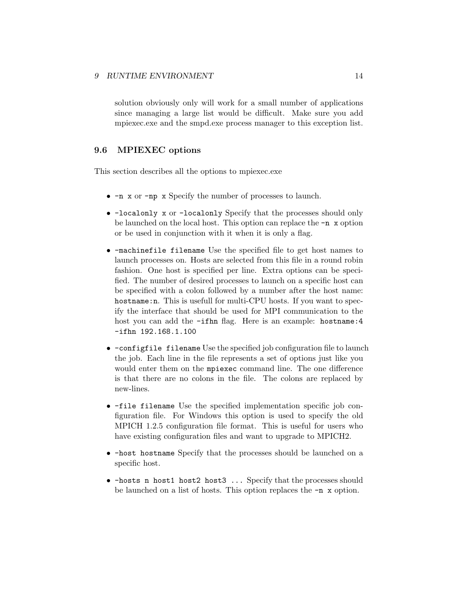<span id="page-16-0"></span>solution obviously only will work for a small number of applications since managing a large list would be difficult. Make sure you add mpiexec.exe and the smpd.exe process manager to this exception list.

### 9.6 MPIEXEC options

This section describes all the options to mpiexec.exe

- -n x or -np x Specify the number of processes to launch.
- -localonly x or -localonly Specify that the processes should only be launched on the local host. This option can replace the -n x option or be used in conjunction with it when it is only a flag.
- -machinefile filename Use the specified file to get host names to launch processes on. Hosts are selected from this file in a round robin fashion. One host is specified per line. Extra options can be specified. The number of desired processes to launch on a specific host can be specified with a colon followed by a number after the host name: hostname: n. This is usefull for multi-CPU hosts. If you want to specify the interface that should be used for MPI communication to the host you can add the -ifhn flag. Here is an example: hostname: 4 -ifhn 192.168.1.100
- -configfile filename Use the specified job configuration file to launch the job. Each line in the file represents a set of options just like you would enter them on the mpiexec command line. The one difference is that there are no colons in the file. The colons are replaced by new-lines.
- -file filename Use the specified implementation specific job configuration file. For Windows this option is used to specify the old MPICH 1.2.5 configuration file format. This is useful for users who have existing configuration files and want to upgrade to MPICH2.
- -host hostname Specify that the processes should be launched on a specific host.
- -hosts n host1 host2 host3 ... Specify that the processes should be launched on a list of hosts. This option replaces the -n x option.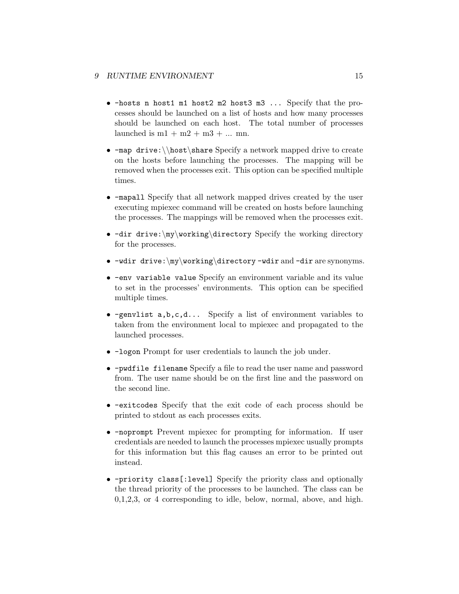- -hosts n host1 m1 host2 m2 host3 m3 ... Specify that the processes should be launched on a list of hosts and how many processes should be launched on each host. The total number of processes launched is  $m1 + m2 + m3 + ...$  mn.
- $-map$  drive:  $\hbar$ share Specify a network mapped drive to create on the hosts before launching the processes. The mapping will be removed when the processes exit. This option can be specified multiple times.
- -mapall Specify that all network mapped drives created by the user executing mpiexec command will be created on hosts before launching the processes. The mappings will be removed when the processes exit.
- -dir drive:\my\working\directory Specify the working directory for the processes.
- $-\text{w}\times\text{inv}\text{in}$  -wdir and  $-\text{div}$  are synonyms.
- -env variable value Specify an environment variable and its value to set in the processes' environments. This option can be specified multiple times.
- -genvlist  $a,b,c,d...$  Specify a list of environment variables to taken from the environment local to mpiexec and propagated to the launched processes.
- -logon Prompt for user credentials to launch the job under.
- -pwdfile filename Specify a file to read the user name and password from. The user name should be on the first line and the password on the second line.
- -exitcodes Specify that the exit code of each process should be printed to stdout as each processes exits.
- -noprompt Prevent mpiexec for prompting for information. If user credentials are needed to launch the processes mpiexec usually prompts for this information but this flag causes an error to be printed out instead.
- -priority class[:level] Specify the priority class and optionally the thread priority of the processes to be launched. The class can be 0,1,2,3, or 4 corresponding to idle, below, normal, above, and high.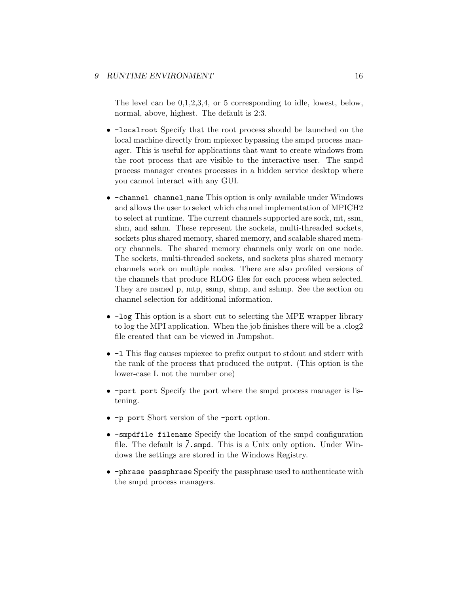The level can be 0,1,2,3,4, or 5 corresponding to idle, lowest, below, normal, above, highest. The default is 2:3.

- -localroot Specify that the root process should be launched on the local machine directly from mpiexec bypassing the smpd process manager. This is useful for applications that want to create windows from the root process that are visible to the interactive user. The smpd process manager creates processes in a hidden service desktop where you cannot interact with any GUI.
- -channel channel name This option is only available under Windows and allows the user to select which channel implementation of MPICH2 to select at runtime. The current channels supported are sock, mt, ssm, shm, and sshm. These represent the sockets, multi-threaded sockets, sockets plus shared memory, shared memory, and scalable shared memory channels. The shared memory channels only work on one node. The sockets, multi-threaded sockets, and sockets plus shared memory channels work on multiple nodes. There are also profiled versions of the channels that produce RLOG files for each process when selected. They are named p, mtp, ssmp, shmp, and sshmp. See the section on channel selection for additional information.
- -log This option is a short cut to selecting the MPE wrapper library to log the MPI application. When the job finishes there will be a .clog2 file created that can be viewed in Jumpshot.
- -l This flag causes mpiexec to prefix output to stdout and stderr with the rank of the process that produced the output. (This option is the lower-case L not the number one)
- -port port Specify the port where the smpd process manager is listening.
- -p port Short version of the -port option.
- -smpdfile filename Specify the location of the smpd configuration file. The default is  $\tilde{\ell}$ . smpd. This is a Unix only option. Under Windows the settings are stored in the Windows Registry.
- -phrase passphrase Specify the passphrase used to authenticate with the smpd process managers.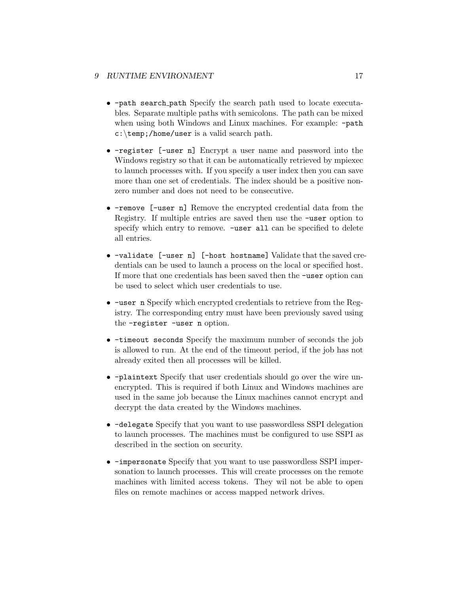- -path search path Specify the search path used to locate executables. Separate multiple paths with semicolons. The path can be mixed when using both Windows and Linux machines. For example: -path c:\temp;/home/user is a valid search path.
- -register [-user n] Encrypt a user name and password into the Windows registry so that it can be automatically retrieved by mpiexec to launch processes with. If you specify a user index then you can save more than one set of credentials. The index should be a positive nonzero number and does not need to be consecutive.
- -remove [-user n] Remove the encrypted credential data from the Registry. If multiple entries are saved then use the -user option to specify which entry to remove. -user all can be specified to delete all entries.
- -validate [-user n] [-host hostname] Validate that the saved credentials can be used to launch a process on the local or specified host. If more that one credentials has been saved then the -user option can be used to select which user credentials to use.
- -user n Specify which encrypted credentials to retrieve from the Registry. The corresponding entry must have been previously saved using the -register -user n option.
- -timeout seconds Specify the maximum number of seconds the job is allowed to run. At the end of the timeout period, if the job has not already exited then all processes will be killed.
- -plaintext Specify that user credentials should go over the wire unencrypted. This is required if both Linux and Windows machines are used in the same job because the Linux machines cannot encrypt and decrypt the data created by the Windows machines.
- -delegate Specify that you want to use passwordless SSPI delegation to launch processes. The machines must be configured to use SSPI as described in the section on security.
- -impersonate Specify that you want to use passwordless SSPI impersonation to launch processes. This will create processes on the remote machines with limited access tokens. They wil not be able to open files on remote machines or access mapped network drives.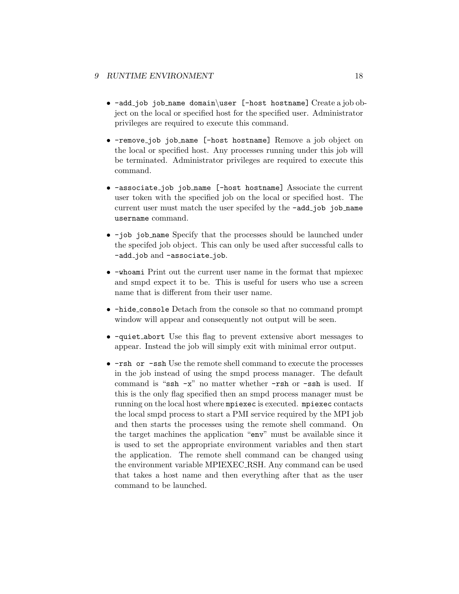- -add job job name domain\user [-host hostname] Create a job object on the local or specified host for the specified user. Administrator privileges are required to execute this command.
- -remove job job name [-host hostname] Remove a job object on the local or specified host. Any processes running under this job will be terminated. Administrator privileges are required to execute this command.
- -associate job job name [-host hostname] Associate the current user token with the specified job on the local or specified host. The current user must match the user specifed by the  $\neg add\_job$  job name username command.
- -job job\_name Specify that the processes should be launched under the specifed job object. This can only be used after successful calls to -add\_job and -associate\_job.
- -whoami Print out the current user name in the format that mpiexec and smpd expect it to be. This is useful for users who use a screen name that is different from their user name.
- -hide console Detach from the console so that no command prompt window will appear and consequently not output will be seen.
- -quiet abort Use this flag to prevent extensive abort messages to appear. Instead the job will simply exit with minimal error output.
- $-rsh$  or  $-ssh$  Use the remote shell command to execute the processes in the job instead of using the smpd process manager. The default command is "ssh -x" no matter whether -rsh or -ssh is used. If this is the only flag specified then an smpd process manager must be running on the local host where mpiexec is executed. mpiexec contacts the local smpd process to start a PMI service required by the MPI job and then starts the processes using the remote shell command. On the target machines the application "env" must be available since it is used to set the appropriate environment variables and then start the application. The remote shell command can be changed using the environment variable MPIEXEC RSH. Any command can be used that takes a host name and then everything after that as the user command to be launched.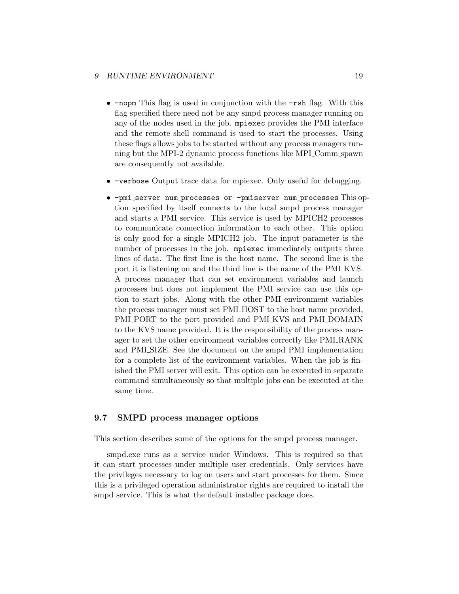- <span id="page-21-0"></span>• -nopm This flag is used in conjunction with the -rsh flag. With this flag specified there need not be any smpd process manager running on any of the nodes used in the job. mpiexec provides the PMI interface and the remote shell command is used to start the processes. Using these flags allows jobs to be started without any process managers running but the MPI-2 dynamic process functions like MPI Comm spawn are consequently not available.
- -verbose Output trace data for mpiexec. Only useful for debugging.
- -pmi server num processes or -pmiserver num processes This option specified by itself connects to the local smpd process manager and starts a PMI service. This service is used by MPICH2 processes to communicate connection information to each other. This option is only good for a single MPICH2 job. The input parameter is the number of processes in the job. mpiexec immediately outputs three lines of data. The first line is the host name. The second line is the port it is listening on and the third line is the name of the PMI KVS. A process manager that can set environment variables and launch processes but does not implement the PMI service can use this option to start jobs. Along with the other PMI environment variables the process manager must set PMI HOST to the host name provided, PMI PORT to the port provided and PMI KVS and PMI DOMAIN to the KVS name provided. It is the responsibility of the process manager to set the other environment variables correctly like PMI RANK and PMI SIZE. See the document on the smpd PMI implementation for a complete list of the environment variables. When the job is finished the PMI server will exit. This option can be executed in separate command simultaneously so that multiple jobs can be executed at the same time.

### 9.7 SMPD process manager options

This section describes some of the options for the smpd process manager.

smpd.exe runs as a service under Windows. This is required so that it can start processes under multiple user credentials. Only services have the privileges necessary to log on users and start processes for them. Since this is a privileged operation administrator rights are required to install the smpd service. This is what the default installer package does.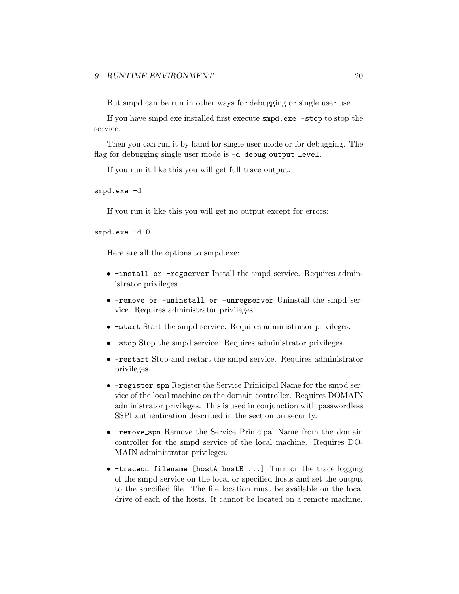But smpd can be run in other ways for debugging or single user use.

If you have smpd.exe installed first execute smpd.exe -stop to stop the service.

Then you can run it by hand for single user mode or for debugging. The flag for debugging single user mode is -d debug\_output\_level.

If you run it like this you will get full trace output:

smpd.exe -d

If you run it like this you will get no output except for errors:

smpd.exe -d 0

Here are all the options to smpd.exe:

- -install or -regserver Install the smpd service. Requires administrator privileges.
- -remove or -uninstall or -unregserver Uninstall the smpd service. Requires administrator privileges.
- -start Start the smpd service. Requires administrator privileges.
- -stop Stop the smpd service. Requires administrator privileges.
- -restart Stop and restart the smpd service. Requires administrator privileges.
- -register\_spn Register the Service Prinicipal Name for the smpd service of the local machine on the domain controller. Requires DOMAIN administrator privileges. This is used in conjunction with passwordless SSPI authentication described in the section on security.
- -remove spn Remove the Service Prinicipal Name from the domain controller for the smpd service of the local machine. Requires DO-MAIN administrator privileges.
- $-$ traceon filename [hostA hostB  $\ldots$ ] Turn on the trace logging of the smpd service on the local or specified hosts and set the output to the specified file. The file location must be available on the local drive of each of the hosts. It cannot be located on a remote machine.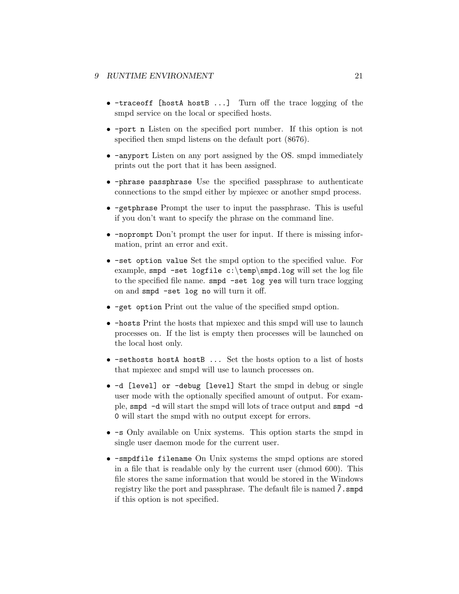- -traceoff [hostA hostB ...] Turn off the trace logging of the smpd service on the local or specified hosts.
- -port n Listen on the specified port number. If this option is not specified then smpd listens on the default port (8676).
- -anyport Listen on any port assigned by the OS. smpd immediately prints out the port that it has been assigned.
- -phrase passphrase Use the specified passphrase to authenticate connections to the smpd either by mpiexec or another smpd process.
- -getphrase Prompt the user to input the passphrase. This is useful if you don't want to specify the phrase on the command line.
- -noprompt Don't prompt the user for input. If there is missing information, print an error and exit.
- -set option value Set the smpd option to the specified value. For example, smpd -set logfile  $c:\temp\smash{\text{smpd}}. \log \text{wil set}$  the log file to the specified file name. smpd -set log yes will turn trace logging on and smpd -set log no will turn it off.
- -get option Print out the value of the specified smpd option.
- -hosts Print the hosts that mpiexec and this smpd will use to launch processes on. If the list is empty then processes will be launched on the local host only.
- -sethosts hostA hostB ... Set the hosts option to a list of hosts that mpiexec and smpd will use to launch processes on.
- -d [level] or -debug [level] Start the smpd in debug or single user mode with the optionally specified amount of output. For example, smpd -d will start the smpd will lots of trace output and smpd -d 0 will start the smpd with no output except for errors.
- -s Only available on Unix systems. This option starts the smpd in single user daemon mode for the current user.
- -smpdfile filename On Unix systems the smpd options are stored in a file that is readable only by the current user (chmod 600). This file stores the same information that would be stored in the Windows registry like the port and passphrase. The default file is named  $\tilde{7}$ . smpd if this option is not specified.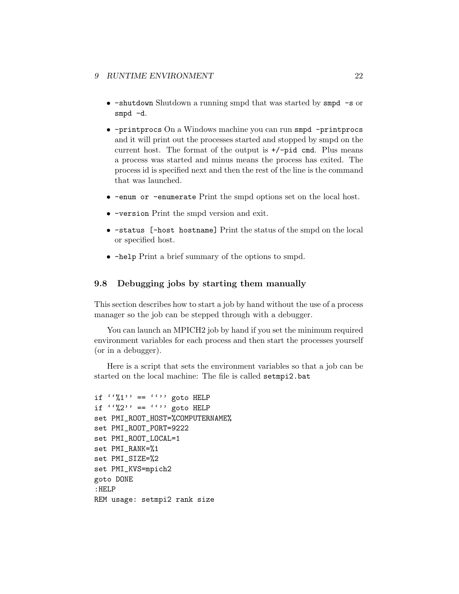- <span id="page-24-0"></span>• -shutdown Shutdown a running smpd that was started by smpd -s or smpd -d.
- -printprocs On a Windows machine you can run smpd -printprocs and it will print out the processes started and stopped by smpd on the current host. The format of the output is  $+/-$ pid cmd. Plus means a process was started and minus means the process has exited. The process id is specified next and then the rest of the line is the command that was launched.
- -enum or -enumerate Print the smpd options set on the local host.
- -version Print the smpd version and exit.
- -status [-host hostname] Print the status of the smpd on the local or specified host.
- -help Print a brief summary of the options to smpd.

### 9.8 Debugging jobs by starting them manually

This section describes how to start a job by hand without the use of a process manager so the job can be stepped through with a debugger.

You can launch an MPICH2 job by hand if you set the minimum required environment variables for each process and then start the processes yourself (or in a debugger).

Here is a script that sets the environment variables so that a job can be started on the local machine: The file is called setmpi2.bat

```
if '(%1'' == ''''' goto HELP
if '%2'' == '''' goto HELP
set PMI_ROOT_HOST=%COMPUTERNAME%
set PMI_ROOT_PORT=9222
set PMI_ROOT_LOCAL=1
set PMI_RANK=%1
set PMI_SIZE=%2
set PMI_KVS=mpich2
goto DONE
:HELP
REM usage: setmpi2 rank size
```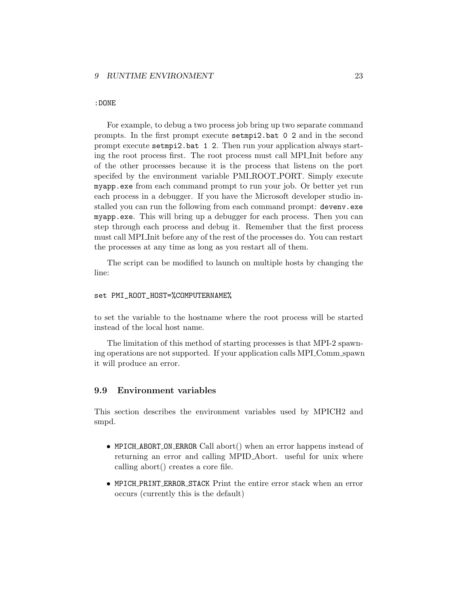### <span id="page-25-0"></span>:DONE

For example, to debug a two process job bring up two separate command prompts. In the first prompt execute setmpi2.bat 0 2 and in the second prompt execute setmpi2.bat 1 2. Then run your application always starting the root process first. The root process must call MPI Init before any of the other processes because it is the process that listens on the port specifed by the environment variable PMI ROOT PORT. Simply execute myapp.exe from each command prompt to run your job. Or better yet run each process in a debugger. If you have the Microsoft developer studio installed you can run the following from each command prompt: devenv.exe myapp.exe. This will bring up a debugger for each process. Then you can step through each process and debug it. Remember that the first process must call MPI Init before any of the rest of the processes do. You can restart the processes at any time as long as you restart all of them.

The script can be modified to launch on multiple hosts by changing the line:

#### set PMI\_ROOT\_HOST=%COMPUTERNAME%

to set the variable to the hostname where the root process will be started instead of the local host name.

The limitation of this method of starting processes is that MPI-2 spawning operations are not supported. If your application calls MPI Comm spawn it will produce an error.

### 9.9 Environment variables

This section describes the environment variables used by MPICH2 and smpd.

- MPICH\_ABORT\_ON\_ERROR Call abort() when an error happens instead of returning an error and calling MPID Abort. useful for unix where calling abort() creates a core file.
- MPICH PRINT ERROR STACK Print the entire error stack when an error occurs (currently this is the default)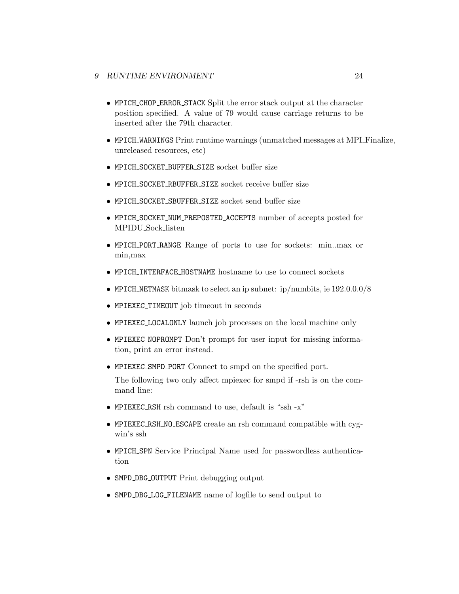- MPICH CHOP ERROR STACK Split the error stack output at the character position specified. A value of 79 would cause carriage returns to be inserted after the 79th character.
- MPICH WARNINGS Print runtime warnings (unmatched messages at MPI Finalize, unreleased resources, etc)
- MPICH\_SOCKET\_BUFFER\_SIZE socket buffer size
- MPICH\_SOCKET\_RBUFFER\_SIZE socket receive buffer size
- MPICH SOCKET SBUFFER SIZE socket send buffer size
- MPICH SOCKET NUM PREPOSTED ACCEPTS number of accepts posted for MPIDU Sock listen
- MPICH PORT RANGE Range of ports to use for sockets: min..max or min,max
- MPICH INTERFACE HOSTNAME hostname to use to connect sockets
- MPICH\_NETMASK bitmask to select an ip subnet: ip/numbits, ie  $192.0.0.0/8$
- MPIEXEC TIMEOUT job timeout in seconds
- MPIEXEC LOCALONLY launch job processes on the local machine only
- MPIEXEC NOPROMPT Don't prompt for user input for missing information, print an error instead.
- MPIEXEC SMPD PORT Connect to smpd on the specified port.

The following two only affect mpiexec for smpd if -rsh is on the command line:

- MPIEXEC RSH rsh command to use, default is "ssh -x"
- MPIEXEC RSH NO ESCAPE create an rsh command compatible with cygwin's ssh
- MPICH SPN Service Principal Name used for passwordless authentication
- SMPD DBG OUTPUT Print debugging output
- SMPD DBG LOG FILENAME name of logfile to send output to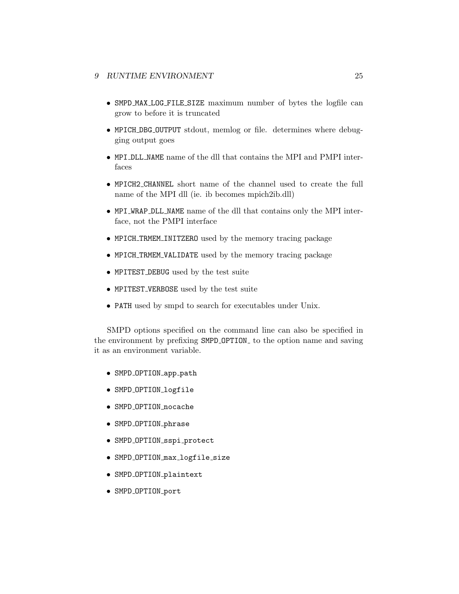- SMPD MAX LOG FILE SIZE maximum number of bytes the logfile can grow to before it is truncated
- MPICH DBG OUTPUT stdout, memlog or file. determines where debugging output goes
- MPI DLL NAME name of the dll that contains the MPI and PMPI interfaces
- MPICH2 CHANNEL short name of the channel used to create the full name of the MPI dll (ie. ib becomes mpich2ib.dll)
- MPI WRAP DLL NAME name of the dll that contains only the MPI interface, not the PMPI interface
- MPICH TRMEM INITZERO used by the memory tracing package
- MPICH TRMEM VALIDATE used by the memory tracing package
- MPITEST DEBUG used by the test suite
- MPITEST VERBOSE used by the test suite
- PATH used by smpd to search for executables under Unix.

SMPD options specified on the command line can also be specified in the environment by prefixing SMPD OPTION to the option name and saving it as an environment variable.

- SMPD\_OPTION\_app\_path
- SMPD OPTION logfile
- SMPD OPTION nocache
- SMPD OPTION phrase
- SMPD\_OPTION\_sspi\_protect
- SMPD OPTION max logfile size
- SMPD\_OPTION\_plaintext
- SMPD OPTION port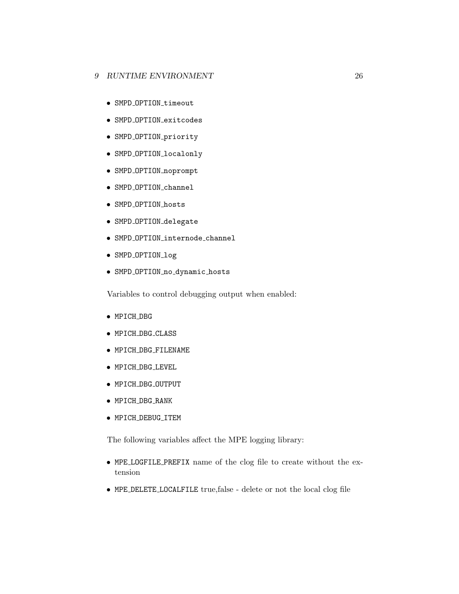- SMPD\_OPTION\_timeout
- SMPD OPTION exitcodes
- SMPD\_OPTION\_priority
- SMPD\_OPTION\_localonly
- SMPD OPTION noprompt
- SMPD OPTION channel
- SMPD OPTION hosts
- SMPD\_OPTION\_delegate
- SMPD OPTION internode channel
- SMPD OPTION log
- SMPD OPTION no dynamic hosts

Variables to control debugging output when enabled:

- MPICH DBG
- MPICH DBG CLASS
- MPICH DBG FILENAME
- MPICH DBG LEVEL
- MPICH DBG OUTPUT
- MPICH DBG RANK
- MPICH DEBUG ITEM

The following variables affect the MPE logging library:

- MPE LOGFILE PREFIX name of the clog file to create without the extension
- MPE DELETE LOCALFILE true,false delete or not the local clog file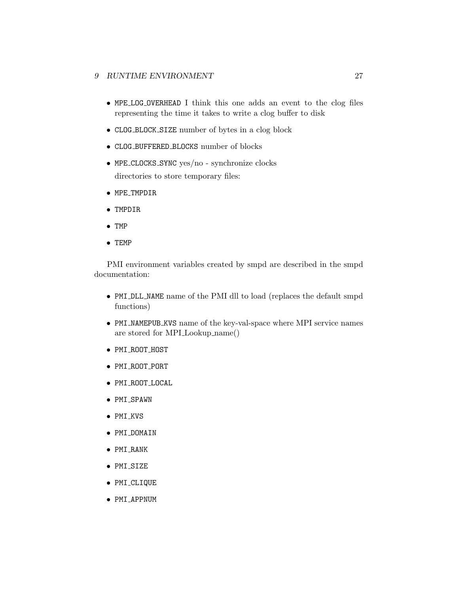- MPE LOG OVERHEAD I think this one adds an event to the clog files representing the time it takes to write a clog buffer to disk
- CLOG BLOCK SIZE number of bytes in a clog block
- CLOG BUFFERED BLOCKS number of blocks
- MPE CLOCKS SYNC yes/no synchronize clocks directories to store temporary files:
- MPE TMPDIR
- TMPDIR
- TMP
- TEMP

PMI environment variables created by smpd are described in the smpd documentation:

- PMI DLL NAME name of the PMI dll to load (replaces the default smpd functions)
- PMI NAMEPUB KVS name of the key-val-space where MPI service names are stored for MPI Lookup name()
- PMI ROOT HOST
- PMI ROOT PORT
- PMI ROOT LOCAL
- PMI SPAWN
- PMI KVS
- PMI DOMAIN
- PMI RANK
- PMI SIZE
- PMI CLIQUE
- PMI APPNUM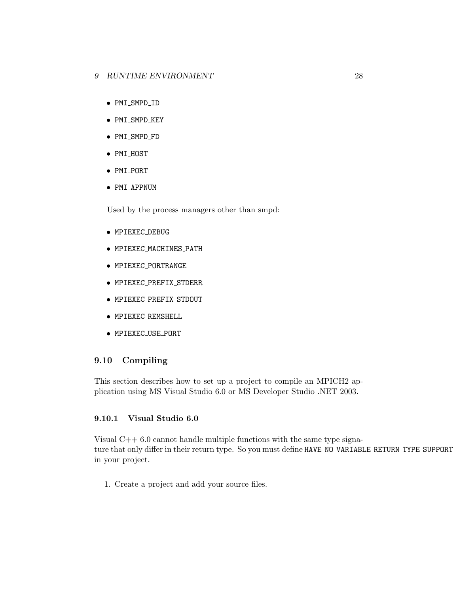- <span id="page-30-0"></span>• PMI SMPD ID
- PMI\_SMPD\_KEY
- PMI\_SMPD\_FD
- PMI\_HOST
- PMI PORT
- PMI APPNUM

Used by the process managers other than smpd:

- MPIEXEC DEBUG
- MPIEXEC MACHINES PATH
- MPIEXEC PORTRANGE
- MPIEXEC PREFIX STDERR
- MPIEXEC PREFIX STDOUT
- MPIEXEC REMSHELL
- MPIEXEC USE PORT

## 9.10 Compiling

This section describes how to set up a project to compile an MPICH2 application using MS Visual Studio 6.0 or MS Developer Studio .NET 2003.

## 9.10.1 Visual Studio 6.0

Visual C++ 6.0 cannot handle multiple functions with the same type signature that only differ in their return type. So you must define HAVE\_NO\_VARIABLE\_RETURN\_TYPE\_SUPPORT in your project.

1. Create a project and add your source files.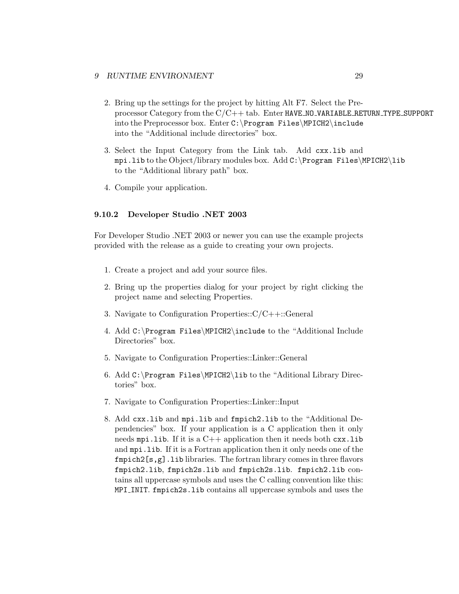- <span id="page-31-0"></span>2. Bring up the settings for the project by hitting Alt F7. Select the Preprocessor Category from the C/C++ tab. Enter HAVE NO VARIABLE RETURN TYPE SUPPORT into the Preprocessor box. Enter C:\Program Files\MPICH2\include into the "Additional include directories" box.
- 3. Select the Input Category from the Link tab. Add cxx.lib and mpi.lib to the Object/library modules box. Add C:\Program Files\MPICH2\lib to the "Additional library path" box.
- 4. Compile your application.

### 9.10.2 Developer Studio .NET 2003

For Developer Studio .NET 2003 or newer you can use the example projects provided with the release as a guide to creating your own projects.

- 1. Create a project and add your source files.
- 2. Bring up the properties dialog for your project by right clicking the project name and selecting Properties.
- 3. Navigate to Configuration Properties::C/C++::General
- 4. Add C:\Program Files\MPICH2\include to the "Additional Include Directories" box.
- 5. Navigate to Configuration Properties::Linker::General
- 6. Add C:\Program Files\MPICH2\lib to the "Aditional Library Directories" box.
- 7. Navigate to Configuration Properties::Linker::Input
- 8. Add cxx.lib and mpi.lib and fmpich2.lib to the "Additional Dependencies" box. If your application is a C application then it only needs mpi.lib. If it is a  $C++$  application then it needs both  $cxx$ .lib and mpi.lib. If it is a Fortran application then it only needs one of the fmpich2[s,g].lib libraries. The fortran library comes in three flavors fmpich2.lib, fmpich2s.lib and fmpich2s.lib. fmpich2.lib contains all uppercase symbols and uses the C calling convention like this: MPI\_INIT. fmpich2s.lib contains all uppercase symbols and uses the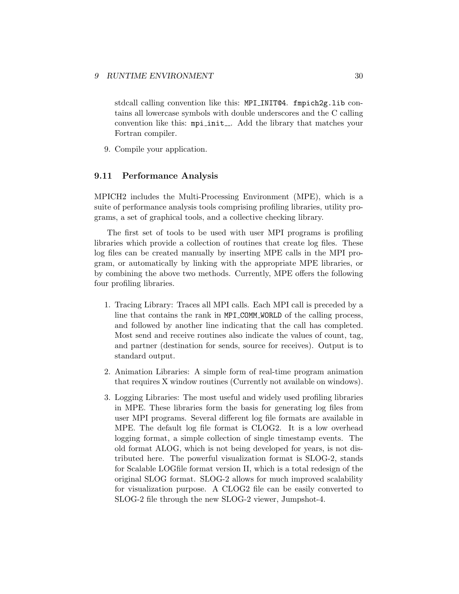<span id="page-32-0"></span>stdcall calling convention like this: MPI INIT@4. fmpich2g.lib contains all lowercase symbols with double underscores and the C calling convention like this: mpi init... Add the library that matches your Fortran compiler.

9. Compile your application.

### 9.11 Performance Analysis

MPICH2 includes the Multi-Processing Environment (MPE), which is a suite of performance analysis tools comprising profiling libraries, utility programs, a set of graphical tools, and a collective checking library.

The first set of tools to be used with user MPI programs is profiling libraries which provide a collection of routines that create log files. These log files can be created manually by inserting MPE calls in the MPI program, or automatically by linking with the appropriate MPE libraries, or by combining the above two methods. Currently, MPE offers the following four profiling libraries.

- 1. Tracing Library: Traces all MPI calls. Each MPI call is preceded by a line that contains the rank in MPI COMM WORLD of the calling process, and followed by another line indicating that the call has completed. Most send and receive routines also indicate the values of count, tag, and partner (destination for sends, source for receives). Output is to standard output.
- 2. Animation Libraries: A simple form of real-time program animation that requires X window routines (Currently not available on windows).
- 3. Logging Libraries: The most useful and widely used profiling libraries in MPE. These libraries form the basis for generating log files from user MPI programs. Several different log file formats are available in MPE. The default log file format is CLOG2. It is a low overhead logging format, a simple collection of single timestamp events. The old format ALOG, which is not being developed for years, is not distributed here. The powerful visualization format is SLOG-2, stands for Scalable LOGfile format version II, which is a total redesign of the original SLOG format. SLOG-2 allows for much improved scalability for visualization purpose. A CLOG2 file can be easily converted to SLOG-2 file through the new SLOG-2 viewer, Jumpshot-4.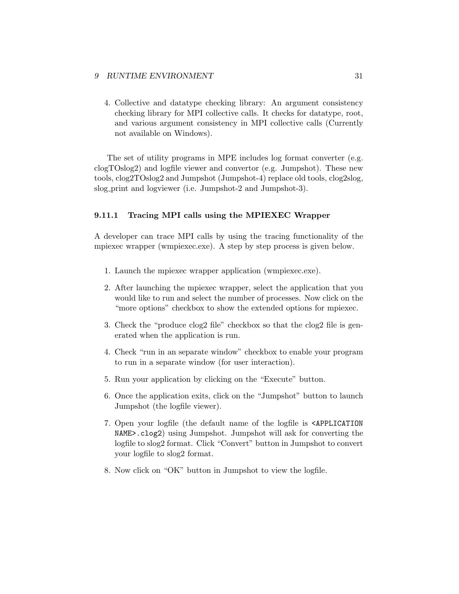<span id="page-33-0"></span>4. Collective and datatype checking library: An argument consistency checking library for MPI collective calls. It checks for datatype, root, and various argument consistency in MPI collective calls (Currently not available on Windows).

The set of utility programs in MPE includes log format converter (e.g. clogTOslog2) and logfile viewer and convertor (e.g. Jumpshot). These new tools, clog2TOslog2 and Jumpshot (Jumpshot-4) replace old tools, clog2slog, slog print and logviewer (i.e. Jumpshot-2 and Jumpshot-3).

#### 9.11.1 Tracing MPI calls using the MPIEXEC Wrapper

A developer can trace MPI calls by using the tracing functionality of the mpiexec wrapper (wmpiexec.exe). A step by step process is given below.

- 1. Launch the mpiexec wrapper application (wmpiexec.exe).
- 2. After launching the mpiexec wrapper, select the application that you would like to run and select the number of processes. Now click on the "more options" checkbox to show the extended options for mpiexec.
- 3. Check the "produce clog2 file" checkbox so that the clog2 file is generated when the application is run.
- 4. Check "run in an separate window" checkbox to enable your program to run in a separate window (for user interaction).
- 5. Run your application by clicking on the "Execute" button.
- 6. Once the application exits, click on the "Jumpshot" button to launch Jumpshot (the logfile viewer).
- 7. Open your logfile (the default name of the logfile is <APPLICATION NAME>.clog2) using Jumpshot. Jumpshot will ask for converting the logfile to slog2 format. Click "Convert" button in Jumpshot to convert your logfile to slog2 format.
- 8. Now click on "OK" button in Jumpshot to view the logfile.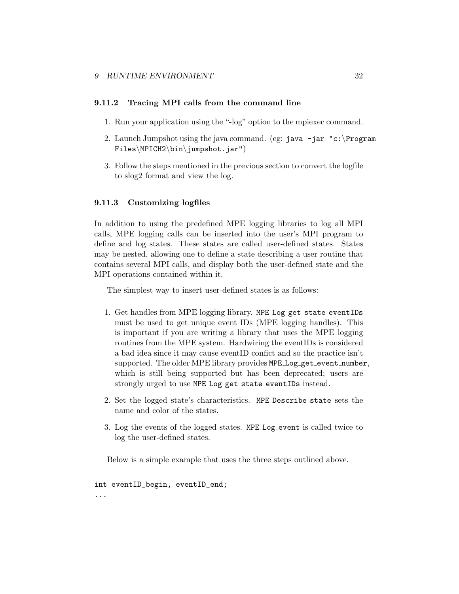### <span id="page-34-0"></span>9.11.2 Tracing MPI calls from the command line

- 1. Run your application using the "-log" option to the mpiexec command.
- 2. Launch Jumpshot using the java command. (eg: java  $-jar$  "c:\Program Files\MPICH2\bin\jumpshot.jar")
- 3. Follow the steps mentioned in the previous section to convert the logfile to slog2 format and view the log.

### 9.11.3 Customizing logfiles

In addition to using the predefined MPE logging libraries to log all MPI calls, MPE logging calls can be inserted into the user's MPI program to define and log states. These states are called user-defined states. States may be nested, allowing one to define a state describing a user routine that contains several MPI calls, and display both the user-defined state and the MPI operations contained within it.

The simplest way to insert user-defined states is as follows:

- 1. Get handles from MPE logging library. MPE Log get state eventIDs must be used to get unique event IDs (MPE logging handles). This is important if you are writing a library that uses the MPE logging routines from the MPE system. Hardwiring the eventIDs is considered a bad idea since it may cause eventID confict and so the practice isn't supported. The older MPE library provides MPE Log get event number, which is still being supported but has been deprecated; users are strongly urged to use MPE Log get state eventIDs instead.
- 2. Set the logged state's characteristics. MPE Describe state sets the name and color of the states.
- 3. Log the events of the logged states. MPE Log event is called twice to log the user-defined states.

Below is a simple example that uses the three steps outlined above.

int eventID\_begin, eventID\_end; ...